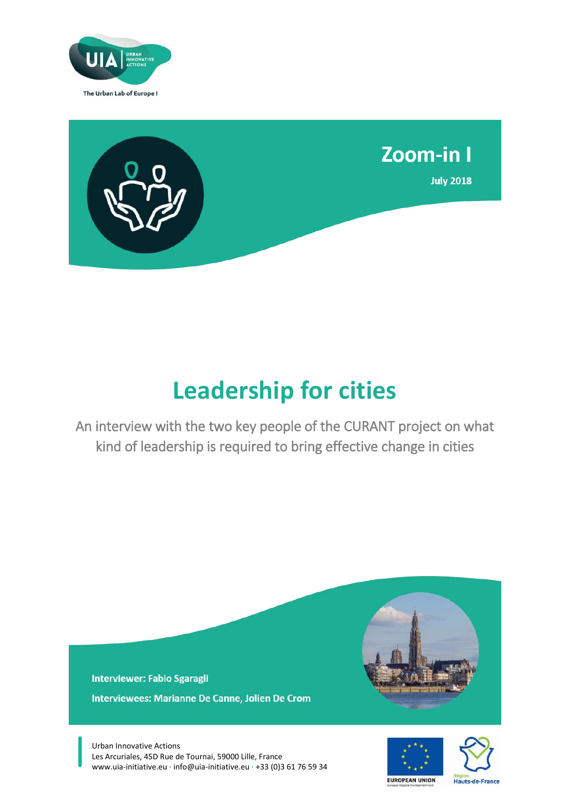



# **Leadership for cities**

An interview with the two key people of the CURANT project on what kind of leadership is required to bring effective change in cities

**Interviewer: Fabio Sgaragli** Interviewees: Marianne De Canne, Jolien De Crom

Urban Innovative Actions Les Arcuriales, 45D Rue de Tournai, 59000 Lille, France www.uia-initiative.eu **∙** info@uia-initiative.eu **∙** +33 (0)3 61 76 59 34



Hauts-de-France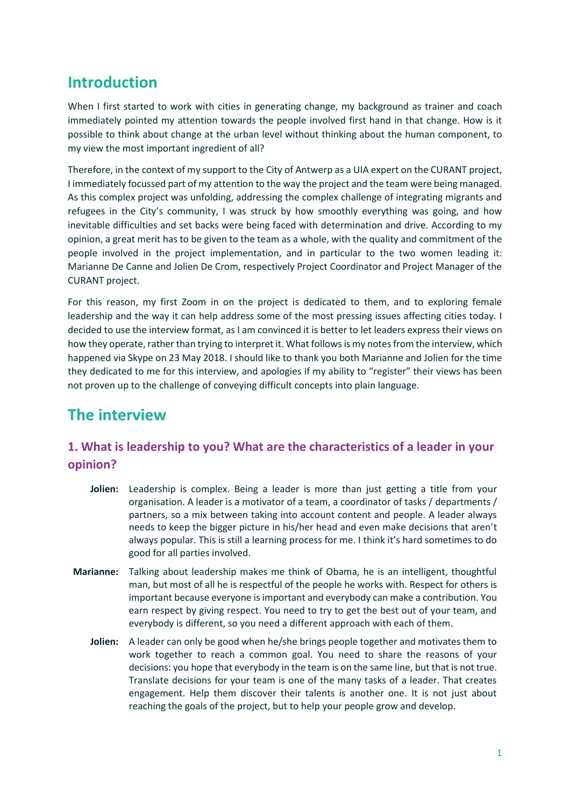# **Introduction**

When I first started to work with cities in generating change, my background as trainer and coach immediately pointed my attention towards the people involved first hand in that change. How is it possible to think about change at the urban level without thinking about the human component, to my view the most important ingredient of all?

Therefore, in the context of my support to the City of Antwerp as a UIA expert on the CURANT project, I immediately focussed part of my attention to the way the project and the team were being managed. As this complex project was unfolding, addressing the complex challenge of integrating migrants and refugees in the City's community, I was struck by how smoothly everything was going, and how inevitable difficulties and set backs were being faced with determination and drive. According to my opinion, a great merit has to be given to the team as a whole, with the quality and commitment of the people involved in the project implementation, and in particular to the two women leading it: Marianne De Canne and Jolien De Crom, respectively Project Coordinator and Project Manager of the CURANT project.

For this reason, my first Zoom in on the project is dedicated to them, and to exploring female leadership and the way it can help address some of the most pressing issues affecting cities today. I decided to use the interview format, as I am convinced it is better to let leaders express their views on how they operate, rather than trying to interpret it. What follows is my notes from the interview, which happened via Skype on 23 May 2018. I should like to thank you both Marianne and Jolien for the time they dedicated to me for this interview, and apologies if my ability to "register" their views has been not proven up to the challenge of conveying difficult concepts into plain language.

# **The interview**

## **1. What is leadership to you? What are the characteristics of a leader in your opinion?**

- **Jolien:** Leadership is complex. Being a leader is more than just getting a title from your organisation. A leader is a motivator of a team, a coordinator of tasks / departments / partners, so a mix between taking into account content and people. A leader always needs to keep the bigger picture in his/her head and even make decisions that aren't always popular. This is still a learning process for me. I think it's hard sometimes to do good for all parties involved.
- **Marianne:** Talking about leadership makes me think of Obama, he is an intelligent, thoughtful man, but most of all he is respectful of the people he works with. Respect for others is important because everyone is important and everybody can make a contribution. You earn respect by giving respect. You need to try to get the best out of your team, and everybody is different, so you need a different approach with each of them.
	- **Jolien:** A leader can only be good when he/she brings people together and motivates them to work together to reach a common goal. You need to share the reasons of your decisions: you hope that everybody in the team is on the same line, but that is not true. Translate decisions for your team is one of the many tasks of a leader. That creates engagement. Help them discover their talents is another one. It is not just about reaching the goals of the project, but to help your people grow and develop.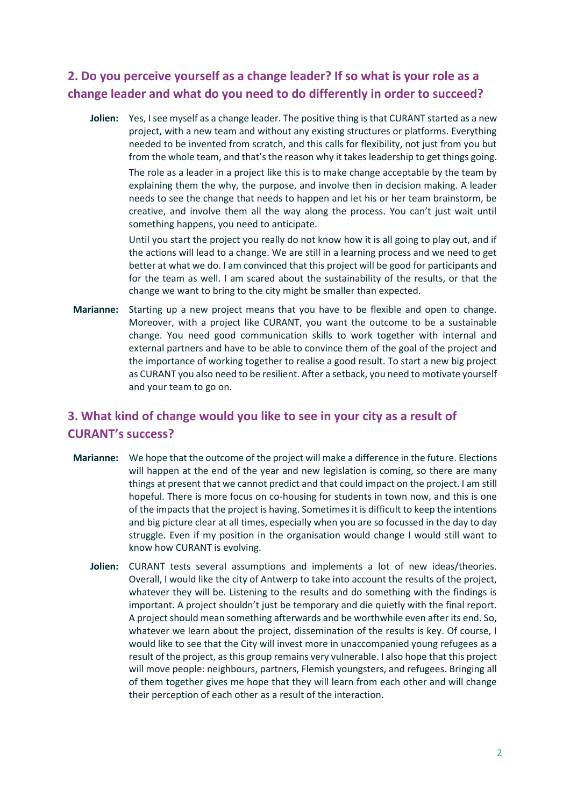## **2. Do you perceive yourself as a change leader? If so what is your role as a change leader and what do you need to do differently in order to succeed?**

**Jolien:** Yes, I see myself as a change leader. The positive thing is that CURANT started as a new project, with a new team and without any existing structures or platforms. Everything needed to be invented from scratch, and this calls for flexibility, not just from you but from the whole team, and that's the reason why it takes leadership to get things going.

The role as a leader in a project like this is to make change acceptable by the team by explaining them the why, the purpose, and involve then in decision making. A leader needs to see the change that needs to happen and let his or her team brainstorm, be creative, and involve them all the way along the process. You can't just wait until something happens, you need to anticipate.

Until you start the project you really do not know how it is all going to play out, and if the actions will lead to a change. We are still in a learning process and we need to get better at what we do. I am convinced that this project will be good for participants and for the team as well. I am scared about the sustainability of the results, or that the change we want to bring to the city might be smaller than expected.

**Marianne:** Starting up a new project means that you have to be flexible and open to change. Moreover, with a project like CURANT, you want the outcome to be a sustainable change. You need good communication skills to work together with internal and external partners and have to be able to convince them of the goal of the project and the importance of working together to realise a good result. To start a new big project as CURANT you also need to be resilient. After a setback, you need to motivate yourself and your team to go on.

## **3. What kind of change would you like to see in your city as a result of CURANT's success?**

- **Marianne:** We hope that the outcome of the project will make a difference in the future. Elections will happen at the end of the year and new legislation is coming, so there are many things at present that we cannot predict and that could impact on the project. I am still hopeful. There is more focus on co-housing for students in town now, and this is one of the impacts that the project is having. Sometimes it is difficult to keep the intentions and big picture clear at all times, especially when you are so focussed in the day to day struggle. Even if my position in the organisation would change I would still want to know how CURANT is evolving.
	- **Jolien:** CURANT tests several assumptions and implements a lot of new ideas/theories. Overall, I would like the city of Antwerp to take into account the results of the project, whatever they will be. Listening to the results and do something with the findings is important. A project shouldn't just be temporary and die quietly with the final report. A project should mean something afterwards and be worthwhile even after its end. So, whatever we learn about the project, dissemination of the results is key. Of course, I would like to see that the City will invest more in unaccompanied young refugees as a result of the project, as this group remains very vulnerable. I also hope that this project will move people: neighbours, partners, Flemish youngsters, and refugees. Bringing all of them together gives me hope that they will learn from each other and will change their perception of each other as a result of the interaction.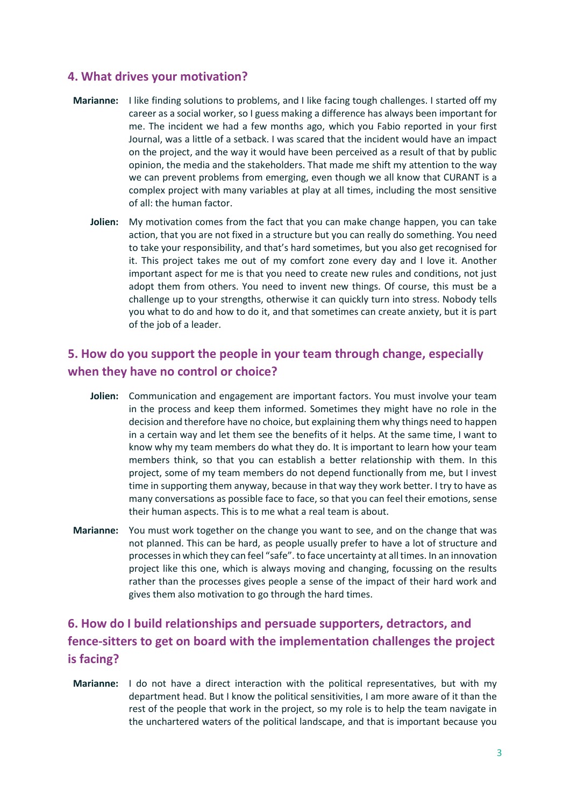#### **4. What drives your motivation?**

- **Marianne:** I like finding solutions to problems, and I like facing tough challenges. I started off my career as a social worker, so I guess making a difference has always been important for me. The incident we had a few months ago, which you Fabio reported in your first Journal, was a little of a setback. I was scared that the incident would have an impact on the project, and the way it would have been perceived as a result of that by public opinion, the media and the stakeholders. That made me shift my attention to the way we can prevent problems from emerging, even though we all know that CURANT is a complex project with many variables at play at all times, including the most sensitive of all: the human factor.
	- **Jolien:** My motivation comes from the fact that you can make change happen, you can take action, that you are not fixed in a structure but you can really do something. You need to take your responsibility, and that's hard sometimes, but you also get recognised for it. This project takes me out of my comfort zone every day and I love it. Another important aspect for me is that you need to create new rules and conditions, not just adopt them from others. You need to invent new things. Of course, this must be a challenge up to your strengths, otherwise it can quickly turn into stress. Nobody tells you what to do and how to do it, and that sometimes can create anxiety, but it is part of the job of a leader.

#### **5. How do you support the people in your team through change, especially when they have no control or choice?**

- **Jolien:** Communication and engagement are important factors. You must involve your team in the process and keep them informed. Sometimes they might have no role in the decision and therefore have no choice, but explaining them why things need to happen in a certain way and let them see the benefits of it helps. At the same time, I want to know why my team members do what they do. It is important to learn how your team members think, so that you can establish a better relationship with them. In this project, some of my team members do not depend functionally from me, but I invest time in supporting them anyway, because in that way they work better. I try to have as many conversations as possible face to face, so that you can feel their emotions, sense their human aspects. This is to me what a real team is about.
- **Marianne:** You must work together on the change you want to see, and on the change that was not planned. This can be hard, as people usually prefer to have a lot of structure and processes in which they can feel "safe". to face uncertainty at all times. In an innovation project like this one, which is always moving and changing, focussing on the results rather than the processes gives people a sense of the impact of their hard work and gives them also motivation to go through the hard times.

## **6. How do I build relationships and persuade supporters, detractors, and fence-sitters to get on board with the implementation challenges the project is facing?**

**Marianne:** I do not have a direct interaction with the political representatives, but with my department head. But I know the political sensitivities, I am more aware of it than the rest of the people that work in the project, so my role is to help the team navigate in the unchartered waters of the political landscape, and that is important because you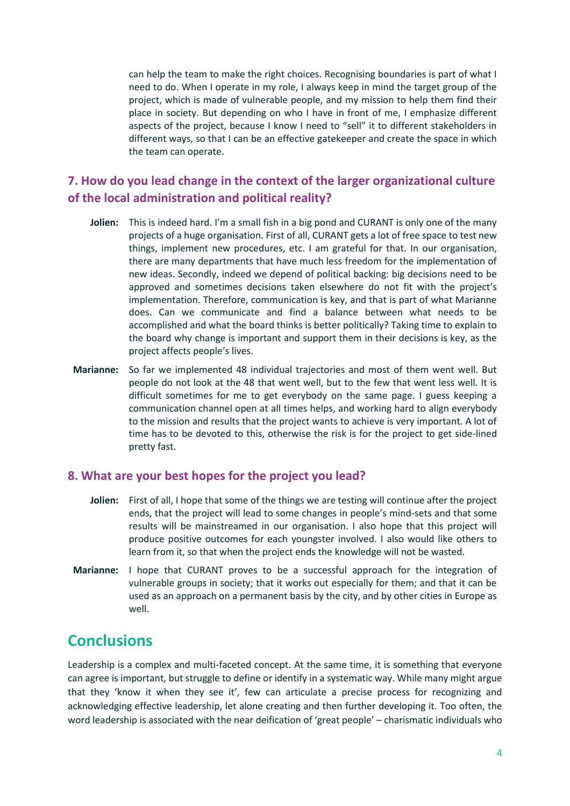can help the team to make the right choices. Recognising boundaries is part of what I need to do. When I operate in my role, I always keep in mind the target group of the project, which is made of vulnerable people, and my mission to help them find their place in society. But depending on who I have in front of me, I emphasize different aspects of the project, because I know I need to "sell" it to different stakeholders in different ways, so that I can be an effective gatekeeper and create the space in which the team can operate.

#### **7. How do you lead change in the context of the larger organizational culture of the local administration and political reality?**

- **Jolien:** This is indeed hard. I'm a small fish in a big pond and CURANT is only one of the many projects of a huge organisation. First of all, CURANT gets a lot of free space to test new things, implement new procedures, etc. I am grateful for that. In our organisation, there are many departments that have much less freedom for the implementation of new ideas. Secondly, indeed we depend of political backing: big decisions need to be approved and sometimes decisions taken elsewhere do not fit with the project's implementation. Therefore, communication is key, and that is part of what Marianne does. Can we communicate and find a balance between what needs to be accomplished and what the board thinks is better politically? Taking time to explain to the board why change is important and support them in their decisions is key, as the project affects people's lives.
- **Marianne:** So far we implemented 48 individual trajectories and most of them went well. But people do not look at the 48 that went well, but to the few that went less well. It is difficult sometimes for me to get everybody on the same page. I guess keeping a communication channel open at all times helps, and working hard to align everybody to the mission and results that the project wants to achieve is very important. A lot of time has to be devoted to this, otherwise the risk is for the project to get side-lined pretty fast.

#### **8. What are your best hopes for the project you lead?**

- **Jolien:** First of all, I hope that some of the things we are testing will continue after the project ends, that the project will lead to some changes in people's mind-sets and that some results will be mainstreamed in our organisation. I also hope that this project will produce positive outcomes for each youngster involved. I also would like others to learn from it, so that when the project ends the knowledge will not be wasted.
- **Marianne:** I hope that CURANT proves to be a successful approach for the integration of vulnerable groups in society; that it works out especially for them; and that it can be used as an approach on a permanent basis by the city, and by other cities in Europe as well.

## **Conclusions**

Leadership is a complex and multi-faceted concept. At the same time, it is something that everyone can agree is important, but struggle to define or identify in a systematic way. While many might argue that they 'know it when they see it', few can articulate a precise process for recognizing and acknowledging effective leadership, let alone creating and then further developing it. Too often, the word leadership is associated with the near deification of 'great people' – charismatic individuals who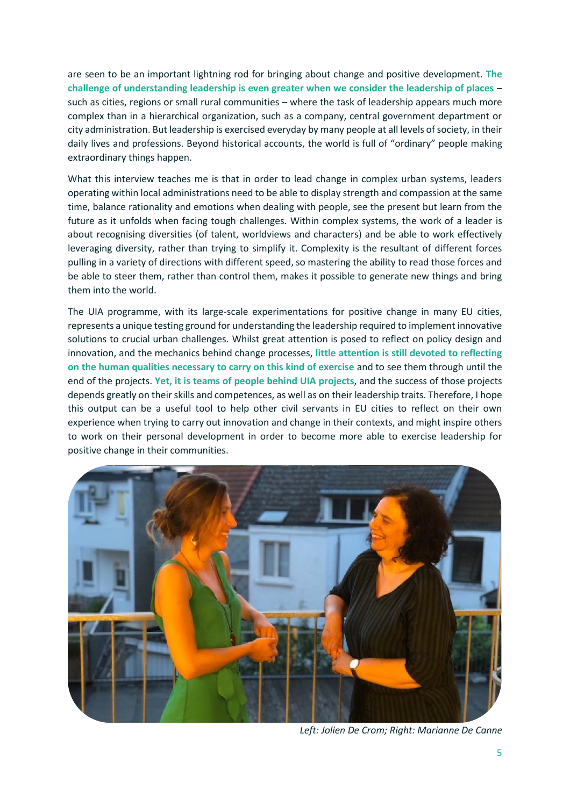are seen to be an important lightning rod for bringing about change and positive development. **The challenge of understanding leadership is even greater when we consider the leadership of places** – such as cities, regions or small rural communities – where the task of leadership appears much more complex than in a hierarchical organization, such as a company, central government department or city administration. But leadership is exercised everyday by many people at all levels of society, in their daily lives and professions. Beyond historical accounts, the world is full of "ordinary" people making extraordinary things happen.

What this interview teaches me is that in order to lead change in complex urban systems, leaders operating within local administrations need to be able to display strength and compassion at the same time, balance rationality and emotions when dealing with people, see the present but learn from the future as it unfolds when facing tough challenges. Within complex systems, the work of a leader is about recognising diversities (of talent, worldviews and characters) and be able to work effectively leveraging diversity, rather than trying to simplify it. Complexity is the resultant of different forces pulling in a variety of directions with different speed, so mastering the ability to read those forces and be able to steer them, rather than control them, makes it possible to generate new things and bring them into the world.

The UIA programme, with its large-scale experimentations for positive change in many EU cities, represents a unique testing ground for understanding the leadership required to implement innovative solutions to crucial urban challenges. Whilst great attention is posed to reflect on policy design and innovation, and the mechanics behind change processes, **little attention is still devoted to reflecting on the human qualities necessary to carry on this kind of exercise** and to see them through until the end of the projects. **Yet, it is teams of people behind UIA projects**, and the success of those projects depends greatly on their skills and competences, as well as on their leadership traits. Therefore, I hope this output can be a useful tool to help other civil servants in EU cities to reflect on their own experience when trying to carry out innovation and change in their contexts, and might inspire others to work on their personal development in order to become more able to exercise leadership for positive change in their communities.



*Left: Jolien De Crom; Right: Marianne De Canne*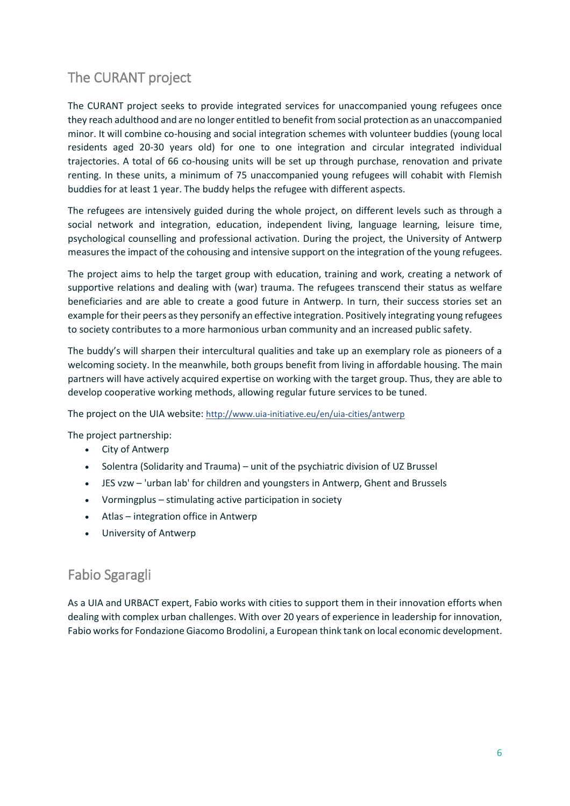# The CURANT project

The CURANT project seeks to provide integrated services for unaccompanied young refugees once they reach adulthood and are no longer entitled to benefit from social protection as an unaccompanied minor. It will combine co-housing and social integration schemes with volunteer buddies (young local residents aged 20-30 years old) for one to one integration and circular integrated individual trajectories. A total of 66 co-housing units will be set up through purchase, renovation and private renting. In these units, a minimum of 75 unaccompanied young refugees will cohabit with Flemish buddies for at least 1 year. The buddy helps the refugee with different aspects.

The refugees are intensively guided during the whole project, on different levels such as through a social network and integration, education, independent living, language learning, leisure time, psychological counselling and professional activation. During the project, the University of Antwerp measures the impact of the cohousing and intensive support on the integration of the young refugees.

The project aims to help the target group with education, training and work, creating a network of supportive relations and dealing with (war) trauma. The refugees transcend their status as welfare beneficiaries and are able to create a good future in Antwerp. In turn, their success stories set an example for their peers as they personify an effective integration. Positively integrating young refugees to society contributes to a more harmonious urban community and an increased public safety.

The buddy's will sharpen their intercultural qualities and take up an exemplary role as pioneers of a welcoming society. In the meanwhile, both groups benefit from living in affordable housing. The main partners will have actively acquired expertise on working with the target group. Thus, they are able to develop cooperative working methods, allowing regular future services to be tuned.

The project on the UIA website: http://www.uia-initiative.eu/en/uia-cities/antwerp

The project partnership:

- City of Antwerp
- Solentra (Solidarity and Trauma) unit of the psychiatric division of UZ Brussel
- JES vzw 'urban lab' for children and youngsters in Antwerp, Ghent and Brussels
- Vormingplus stimulating active participation in society
- Atlas integration office in Antwerp
- University of Antwerp

## Fabio Sgaragli

As a UIA and URBACT expert, Fabio works with cities to support them in their innovation efforts when dealing with complex urban challenges. With over 20 years of experience in leadership for innovation, Fabio works for Fondazione Giacomo Brodolini, a European think tank on local economic development.